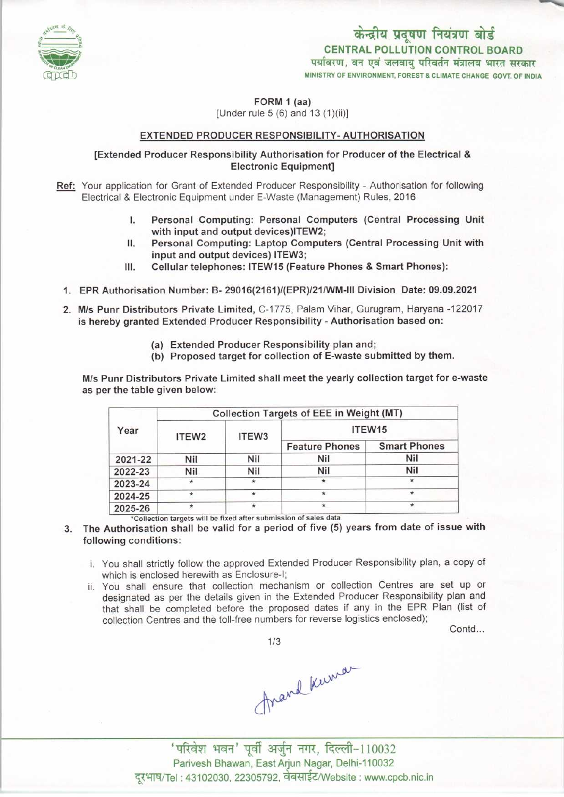

FORM 1 (aa)

 $[Under rule 5 (6) and 13 (1)(ii)]$ 

### EXTENDED PRODUCER RESPONSIBILITY- AUTHORISATION

## [Extended Producer Responsibility Authorisation for Producer ofthe Electrical & Electronic Equipment]

- Ref: Your application for Grant of Extended Producer Responsibility Authorisation for following Electrical & ElectronicEquipment under E-Waste (Management) Rules, 2016
	- Electronic Equipment under E-Waste (Management) Rules, 2016<br>I. Personal Computing: Personal Computers (Central Processing Unit<br>with input and output devices)ITEW2: I. Personal Computing: Personal Computers (Central Processing Unit with input and output devices) ITEW2;<br>II. Personal Computing: Laptop Computers (Central Processing Unit with input and output devices) ITEW3:
	- with input and output devices)ITEW2;<br>Personal Computing: Laptop Computers (Central Processing Unit with input and output devices) ITEW3; II. Personal Computing: Laptop Computers (Central Processing U<br>input and output devices) ITEW3;<br>III. Cellular telephones: ITEW15 (Feature Phones & Smart Phones):
	-
	- 1.EPR Authorisation Number: B- 29016(2161)/(EPR)/21/WM-lll Division Date: 09.09.2021
	- 2.M/s Punr Distributors Private Limited, C-1775, Palam Vihar, Gurugram, Haryana -122017 is hereby granted Extended Producer Responsibility - Authorisation based on:
		- (a)Extended Producer Responsibility plan and;
		- (b) Proposed target for collection of E-waste submitted by them.

M/s Punr Distributors Private Limited shall meet the yearly collection target for e-waste as perthe table given below:

| Year    | Collection Targets of EEE in Weight (MT) |       |                       |                     |
|---------|------------------------------------------|-------|-----------------------|---------------------|
|         | ITEW <sub>2</sub>                        | ITEW3 | ITEW <sub>15</sub>    |                     |
|         |                                          |       | <b>Feature Phones</b> | <b>Smart Phones</b> |
| 2021-22 | Nil                                      | Nil   | Nil                   | Nil                 |
| 2022-23 | Nil                                      | Nil   | Nil                   | <b>Nil</b>          |
| 2023-24 | $\star$                                  |       | $\star$               | $\ast$              |
| 2024-25 |                                          |       | $\star$               | $\star$             |
| 2025-26 |                                          |       | $\star$               | $\star$             |

3. The Authorisation shall be valid for a period of five (5) years from date of issue with following conditions:

- i. You shall strictly follow the approved Extended Producer Responsibility plan, a copy of which is enclosed herewith as Enclosure-I;
- ii. You shall ensure that collection mechanism or collection Centres are set up or designated as per the details given in the Extended Producer Responsibility plan and that shall be completed before the proposed dates if any in the EPR Plan (list of collection Centres and the toll-free numbers for reverse logistics enclosed);

Contd...

1/3

Arand Kuman



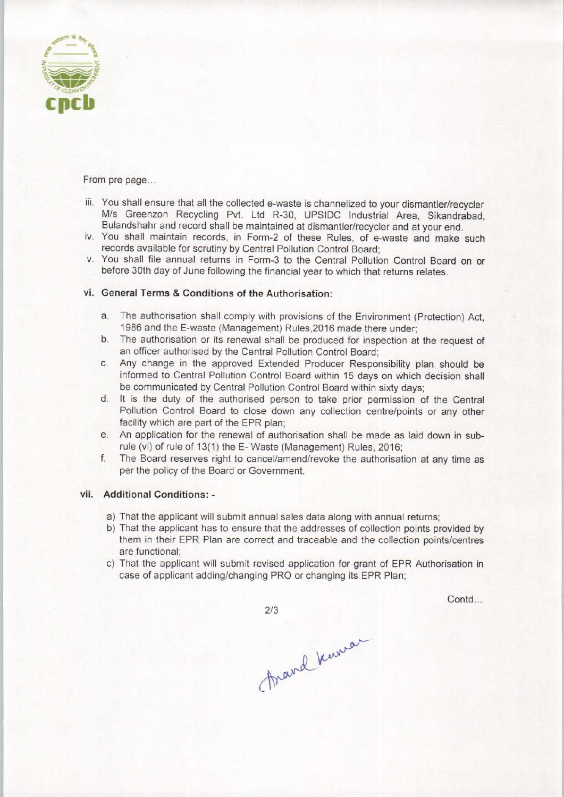

From pre page...

- iii. You shall ensure that all the collected e-waste is channelized to your dismantler/recycler M/s Greenzon Recycling Pvt. Ltd R-30, UPSIDC Industrial Area, Sikandrabad, Bulandshahr and record shall be maintained at dismantler/recycler and at your end.
- iv. You shall maintain records, in Form-2 of these Rules, of e-waste and make such records available for scrutiny by Central Pollution Control Board;
- v. You shall file annual returns in Form-3 to the Central Pollution Control Board on or before 30th day of June following the financial year to which that returns relates.

# vi. General Terms & Conditions of the Authorisation:

- a.The authorisation shall comply with provisions of the Environment (Protection) Act, 1986 and the E-waste (Management) Rules,2016 made there under;
- b.The authorisation or its renewal shall be produced for inspection at the request of an officer authorised by the Central Pollution Control Board;
- c.Any change in the approved Extended Producer Responsibility plan should be informed to Central Pollution Control Board within 15 days on which decision shall be communicated by Central Pollution Control Board within sixty days;
- d. It is the duty of the authorised person to take prior permission of the Central Pollution Control Board to close down any collection centre/points or any other facility which are part of the EPR plan;
- e.An application for the renewal of authorisation shall be made aslaid down in subrule (vi) of rule of 13(1) the E- Waste (Management) Rules, 2016;
- f.The Board reserves right to cancel/amend/revoke the authorisation at any time as per the policy of the Board or Government.

## vii. Additional Conditions: -

- a) That the applicant will submit annual sales data along with annual returns;
- b) That the applicant has to ensure that the addresses of collection points provided by them in their EPR Plan are correct and traceable and the collection points/centres are functional;
- c) That the applicant will submit revised application for grant of EPR Authorisation in case of applicant adding/changing PRO or changing its EPR Plan;

 $2/3$ 

Contd...

Frand Kuman